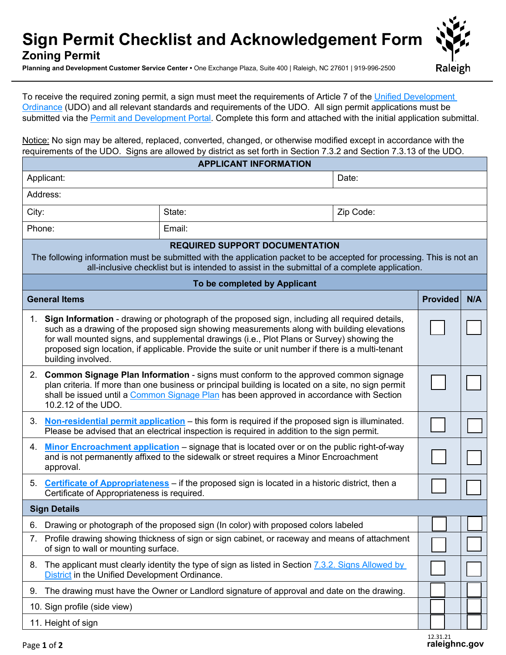## **Sign Permit Checklist and Acknowledgement Form Zoning Permit**

**Planning and Development Customer Service Center •** One Exchange Plaza, Suite 400 | Raleigh, NC 27601 | 919-996-2500



To receive the required zoning permit, a sign must meet the requirements of Article 7 of the Unified Development [Ordinance](https://user-2081353526.cld.bz/UnifiedDevelopmentOrdinance) (UDO) and all relevant standards and requirements of the UDO. All sign permit applications must be submitted via the [Permit and Development Portal.](https://raleighnc-energovpub.tylerhost.net/apps/selfservice#/home) Complete this form and attached with the initial application submittal.

Notice: No sign may be altered, replaced, converted, changed, or otherwise modified except in accordance with the requirements of the UDO. Signs are allowed by district as set forth in Section 7.3.2 and Section 7.3.13 of the UDO.

| <b>APPLICANT INFORMATION</b>                                                                                                                                                                                                                                                                                                                                                                                                          |                                                                                       |       |                 |     |  |  |  |  |  |  |  |
|---------------------------------------------------------------------------------------------------------------------------------------------------------------------------------------------------------------------------------------------------------------------------------------------------------------------------------------------------------------------------------------------------------------------------------------|---------------------------------------------------------------------------------------|-------|-----------------|-----|--|--|--|--|--|--|--|
| Applicant:                                                                                                                                                                                                                                                                                                                                                                                                                            |                                                                                       | Date: |                 |     |  |  |  |  |  |  |  |
| Address:                                                                                                                                                                                                                                                                                                                                                                                                                              |                                                                                       |       |                 |     |  |  |  |  |  |  |  |
| City:                                                                                                                                                                                                                                                                                                                                                                                                                                 | State:<br>Zip Code:                                                                   |       |                 |     |  |  |  |  |  |  |  |
| Phone:                                                                                                                                                                                                                                                                                                                                                                                                                                |                                                                                       |       |                 |     |  |  |  |  |  |  |  |
| <b>REQUIRED SUPPORT DOCUMENTATION</b><br>The following information must be submitted with the application packet to be accepted for processing. This is not an<br>all-inclusive checklist but is intended to assist in the submittal of a complete application.                                                                                                                                                                       |                                                                                       |       |                 |     |  |  |  |  |  |  |  |
| To be completed by Applicant                                                                                                                                                                                                                                                                                                                                                                                                          |                                                                                       |       |                 |     |  |  |  |  |  |  |  |
| <b>General Items</b>                                                                                                                                                                                                                                                                                                                                                                                                                  |                                                                                       |       | <b>Provided</b> | N/A |  |  |  |  |  |  |  |
| Sign Information - drawing or photograph of the proposed sign, including all required details,<br>$1_{\cdot}$<br>such as a drawing of the proposed sign showing measurements along with building elevations<br>for wall mounted signs, and supplemental drawings (i.e., Plot Plans or Survey) showing the<br>proposed sign location, if applicable. Provide the suite or unit number if there is a multi-tenant<br>building involved. |                                                                                       |       |                 |     |  |  |  |  |  |  |  |
| 2. Common Signage Plan Information - signs must conform to the approved common signage<br>plan criteria. If more than one business or principal building is located on a site, no sign permit<br>shall be issued until a Common Signage Plan has been approved in accordance with Section<br>10.2.12 of the UDO.                                                                                                                      |                                                                                       |       |                 |     |  |  |  |  |  |  |  |
| 3. Non-residential permit application - this form is required if the proposed sign is illuminated.<br>Please be advised that an electrical inspection is required in addition to the sign permit.                                                                                                                                                                                                                                     |                                                                                       |       |                 |     |  |  |  |  |  |  |  |
| Minor Encroachment application - signage that is located over or on the public right-of-way<br>4.<br>and is not permanently affixed to the sidewalk or street requires a Minor Encroachment<br>approval.                                                                                                                                                                                                                              |                                                                                       |       |                 |     |  |  |  |  |  |  |  |
| Certificate of Appropriateness - if the proposed sign is located in a historic district, then a<br>5.<br>Certificate of Appropriateness is required.                                                                                                                                                                                                                                                                                  |                                                                                       |       |                 |     |  |  |  |  |  |  |  |
| <b>Sign Details</b>                                                                                                                                                                                                                                                                                                                                                                                                                   |                                                                                       |       |                 |     |  |  |  |  |  |  |  |
|                                                                                                                                                                                                                                                                                                                                                                                                                                       | 6. Drawing or photograph of the proposed sign (In color) with proposed colors labeled |       |                 |     |  |  |  |  |  |  |  |
| Profile drawing showing thickness of sign or sign cabinet, or raceway and means of attachment<br>7.<br>of sign to wall or mounting surface.                                                                                                                                                                                                                                                                                           |                                                                                       |       |                 |     |  |  |  |  |  |  |  |
| The applicant must clearly identity the type of sign as listed in Section 7.3.2. Signs Allowed by<br>8.<br>District in the Unified Development Ordinance.                                                                                                                                                                                                                                                                             |                                                                                       |       |                 |     |  |  |  |  |  |  |  |
| The drawing must have the Owner or Landlord signature of approval and date on the drawing.<br>9.                                                                                                                                                                                                                                                                                                                                      |                                                                                       |       |                 |     |  |  |  |  |  |  |  |
| 10. Sign profile (side view)                                                                                                                                                                                                                                                                                                                                                                                                          |                                                                                       |       |                 |     |  |  |  |  |  |  |  |
| 11. Height of sign                                                                                                                                                                                                                                                                                                                                                                                                                    |                                                                                       |       |                 |     |  |  |  |  |  |  |  |